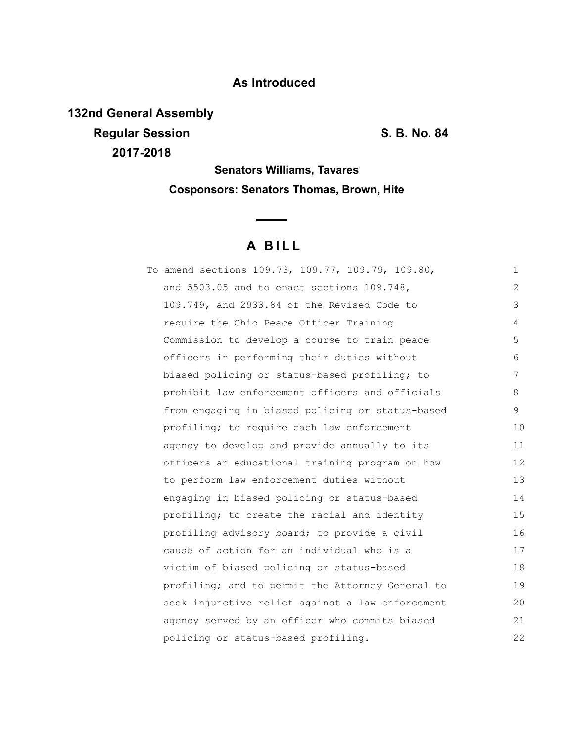## **As Introduced**

**132nd General Assembly Regular Session S. B. No. 84 2017-2018**

**Senators Williams, Tavares Cosponsors: Senators Thomas, Brown, Hite**

 $\sim$ 

# **A B I L L**

| To amend sections 109.73, 109.77, 109.79, 109.80, | 1  |
|---------------------------------------------------|----|
| and 5503.05 and to enact sections 109.748,        | 2  |
| 109.749, and 2933.84 of the Revised Code to       | 3  |
| require the Ohio Peace Officer Training           | 4  |
| Commission to develop a course to train peace     | 5  |
| officers in performing their duties without       | 6  |
| biased policing or status-based profiling; to     | 7  |
| prohibit law enforcement officers and officials   | 8  |
| from engaging in biased policing or status-based  | 9  |
| profiling; to require each law enforcement        | 10 |
| agency to develop and provide annually to its     | 11 |
| officers an educational training program on how   | 12 |
| to perform law enforcement duties without         | 13 |
| engaging in biased policing or status-based       | 14 |
| profiling; to create the racial and identity      | 15 |
| profiling advisory board; to provide a civil      | 16 |
| cause of action for an individual who is a        | 17 |
| victim of biased policing or status-based         | 18 |
| profiling; and to permit the Attorney General to  | 19 |
| seek injunctive relief against a law enforcement  | 20 |
| agency served by an officer who commits biased    | 21 |
| policing or status-based profiling.               | 22 |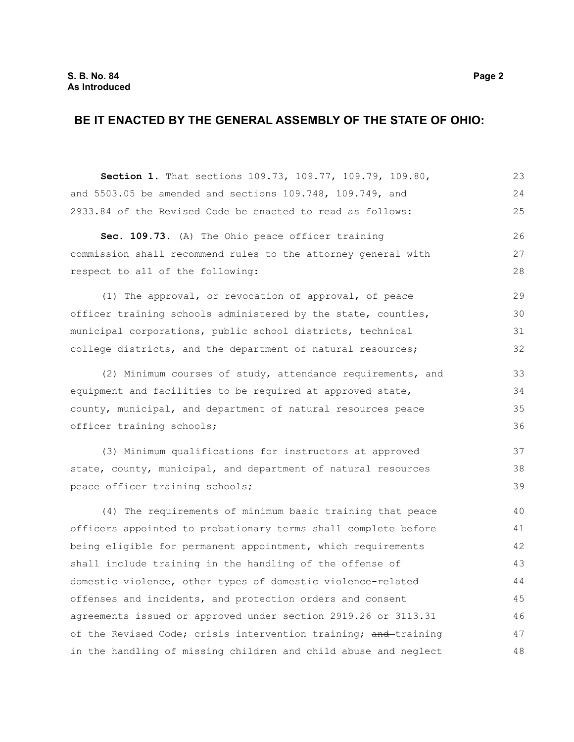### **BE IT ENACTED BY THE GENERAL ASSEMBLY OF THE STATE OF OHIO:**

**Section 1.** That sections 109.73, 109.77, 109.79, 109.80, and 5503.05 be amended and sections 109.748, 109.749, and 2933.84 of the Revised Code be enacted to read as follows: **Sec. 109.73.** (A) The Ohio peace officer training commission shall recommend rules to the attorney general with respect to all of the following: (1) The approval, or revocation of approval, of peace officer training schools administered by the state, counties, municipal corporations, public school districts, technical college districts, and the department of natural resources; (2) Minimum courses of study, attendance requirements, and equipment and facilities to be required at approved state, county, municipal, and department of natural resources peace officer training schools; (3) Minimum qualifications for instructors at approved state, county, municipal, and department of natural resources peace officer training schools; (4) The requirements of minimum basic training that peace officers appointed to probationary terms shall complete before being eligible for permanent appointment, which requirements shall include training in the handling of the offense of domestic violence, other types of domestic violence-related offenses and incidents, and protection orders and consent agreements issued or approved under section 2919.26 or 3113.31 of the Revised Code; crisis intervention training; and training in the handling of missing children and child abuse and neglect 23 24 25 26 27 28 29 30 31 32 33 34 35 36 37 38 39 40 41 42 43 44 45 46 47 48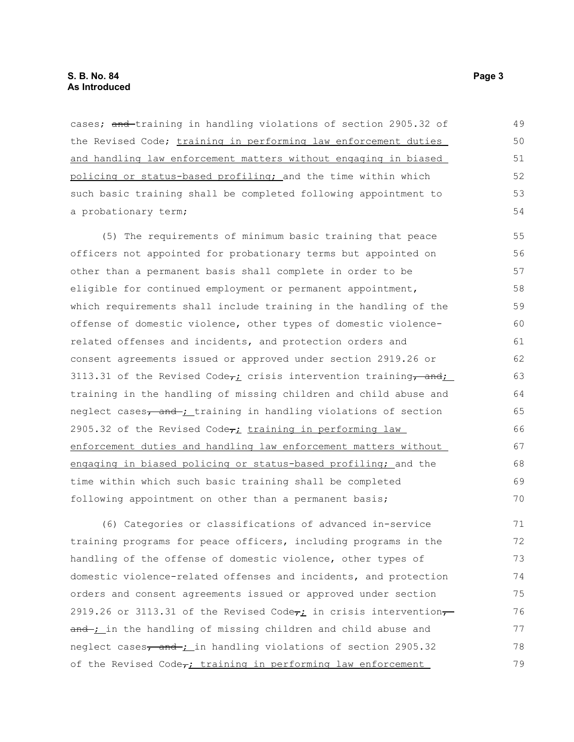cases; and training in handling violations of section 2905.32 of the Revised Code; training in performing law enforcement duties and handling law enforcement matters without engaging in biased policing or status-based profiling; and the time within which such basic training shall be completed following appointment to a probationary term; 49 50 51 52 53 54

(5) The requirements of minimum basic training that peace officers not appointed for probationary terms but appointed on other than a permanent basis shall complete in order to be eligible for continued employment or permanent appointment, which requirements shall include training in the handling of the offense of domestic violence, other types of domestic violencerelated offenses and incidents, and protection orders and consent agreements issued or approved under section 2919.26 or 3113.31 of the Revised Code $\tau_L$  crisis intervention training, and; training in the handling of missing children and child abuse and neglect cases, and ; training in handling violations of section 2905.32 of the Revised Code $\tau_i$  training in performing law enforcement duties and handling law enforcement matters without engaging in biased policing or status-based profiling; and the time within which such basic training shall be completed following appointment on other than a permanent basis; 55 56 57 58 59 60 61 62 63 64 65 66 67 68 69 70

(6) Categories or classifications of advanced in-service training programs for peace officers, including programs in the handling of the offense of domestic violence, other types of domestic violence-related offenses and incidents, and protection orders and consent agreements issued or approved under section 2919.26 or 3113.31 of the Revised Code $\tau_i$  in crisis intervention $\tau$ and ; in the handling of missing children and child abuse and neglect cases, and ; in handling violations of section 2905.32 of the Revised Code $\tau$ ; training in performing law enforcement 71 72 73 74 75 76 77 78 79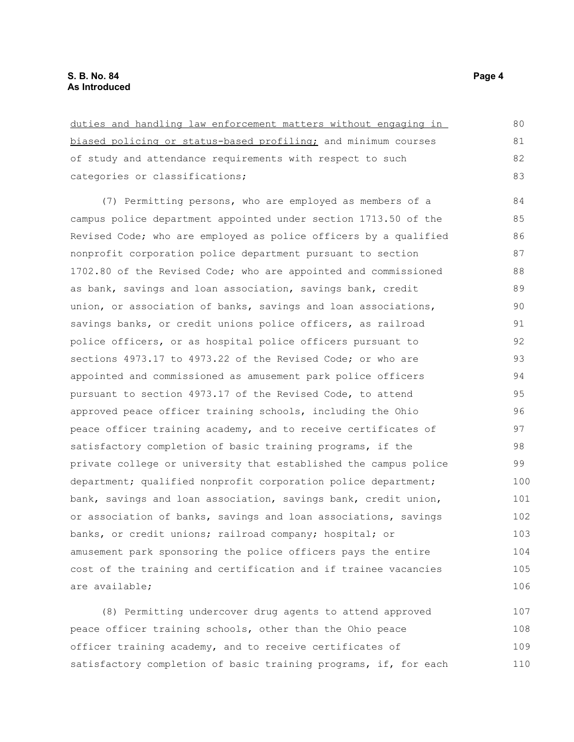| duties and handling law enforcement matters without engaging in  | 80  |
|------------------------------------------------------------------|-----|
| biased policing or status-based profiling; and minimum courses   | 81  |
| of study and attendance requirements with respect to such        | 82  |
| categories or classifications;                                   | 83  |
| (7) Permitting persons, who are employed as members of a         | 84  |
| campus police department appointed under section 1713.50 of the  | 85  |
| Revised Code; who are employed as police officers by a qualified | 86  |
|                                                                  |     |
| nonprofit corporation police department pursuant to section      | 87  |
| 1702.80 of the Revised Code; who are appointed and commissioned  | 88  |
| as bank, savings and loan association, savings bank, credit      | 89  |
| union, or association of banks, savings and loan associations,   | 90  |
| savings banks, or credit unions police officers, as railroad     | 91  |
| police officers, or as hospital police officers pursuant to      | 92  |
| sections 4973.17 to 4973.22 of the Revised Code; or who are      | 93  |
| appointed and commissioned as amusement park police officers     | 94  |
| pursuant to section 4973.17 of the Revised Code, to attend       | 95  |
| approved peace officer training schools, including the Ohio      | 96  |
| peace officer training academy, and to receive certificates of   | 97  |
| satisfactory completion of basic training programs, if the       | 98  |
| private college or university that established the campus police | 99  |
| department; qualified nonprofit corporation police department;   | 100 |
| bank, savings and loan association, savings bank, credit union,  | 101 |
| or association of banks, savings and loan associations, savings  | 102 |
| banks, or credit unions; railroad company; hospital; or          | 103 |
| amusement park sponsoring the police officers pays the entire    | 104 |
| cost of the training and certification and if trainee vacancies  | 105 |
| are available;                                                   | 106 |
| (8) Permitting undercover drug agents to attend approved         | 107 |

(8) Permitting undercover drug agents to attend approved peace officer training schools, other than the Ohio peace officer training academy, and to receive certificates of satisfactory completion of basic training programs, if, for each 107 108 109 110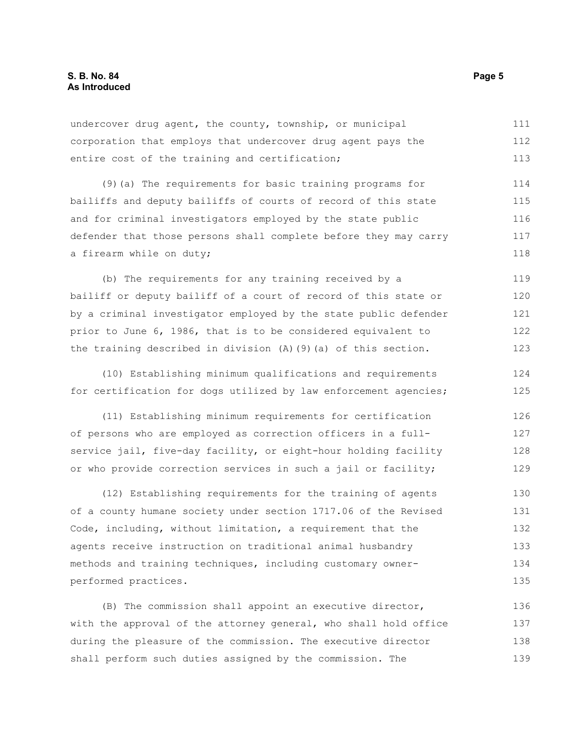undercover drug agent, the county, township, or municipal corporation that employs that undercover drug agent pays the entire cost of the training and certification; 111 112 113

(9)(a) The requirements for basic training programs for bailiffs and deputy bailiffs of courts of record of this state and for criminal investigators employed by the state public defender that those persons shall complete before they may carry a firearm while on duty; 114 115 116 117 118

(b) The requirements for any training received by a bailiff or deputy bailiff of a court of record of this state or by a criminal investigator employed by the state public defender prior to June 6, 1986, that is to be considered equivalent to the training described in division (A)(9)(a) of this section. 119 120 121 122 123

(10) Establishing minimum qualifications and requirements for certification for dogs utilized by law enforcement agencies; 124 125

(11) Establishing minimum requirements for certification of persons who are employed as correction officers in a fullservice jail, five-day facility, or eight-hour holding facility or who provide correction services in such a jail or facility; 126 127 128 129

(12) Establishing requirements for the training of agents of a county humane society under section 1717.06 of the Revised Code, including, without limitation, a requirement that the agents receive instruction on traditional animal husbandry methods and training techniques, including customary ownerperformed practices. 130 131 132 133 134 135

(B) The commission shall appoint an executive director, with the approval of the attorney general, who shall hold office during the pleasure of the commission. The executive director shall perform such duties assigned by the commission. The 136 137 138 139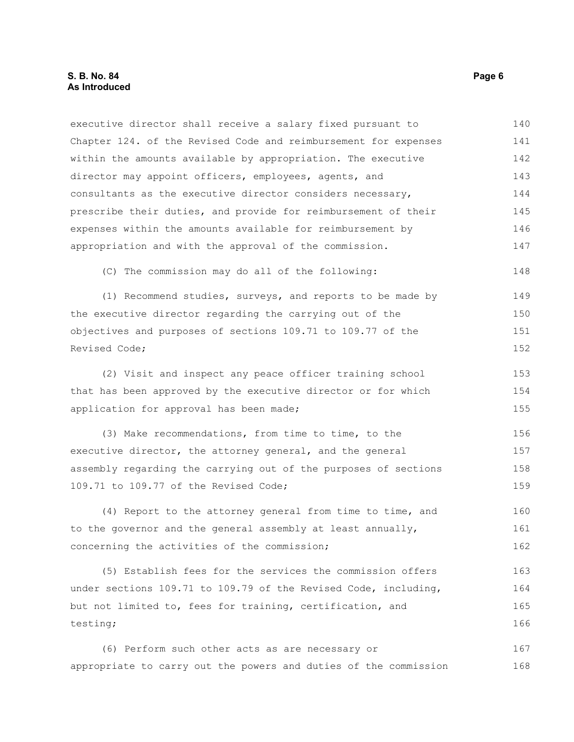executive director shall receive a salary fixed pursuant to Chapter 124. of the Revised Code and reimbursement for expenses within the amounts available by appropriation. The executive director may appoint officers, employees, agents, and consultants as the executive director considers necessary, prescribe their duties, and provide for reimbursement of their expenses within the amounts available for reimbursement by appropriation and with the approval of the commission. (C) The commission may do all of the following: (1) Recommend studies, surveys, and reports to be made by 140 141 142 143 144 145 146 147 148 149

the executive director regarding the carrying out of the objectives and purposes of sections 109.71 to 109.77 of the Revised Code; 150 151 152

(2) Visit and inspect any peace officer training school that has been approved by the executive director or for which application for approval has been made; 153 154 155

(3) Make recommendations, from time to time, to the executive director, the attorney general, and the general assembly regarding the carrying out of the purposes of sections 109.71 to 109.77 of the Revised Code;

(4) Report to the attorney general from time to time, and to the governor and the general assembly at least annually, concerning the activities of the commission; 160 161 162

(5) Establish fees for the services the commission offers under sections 109.71 to 109.79 of the Revised Code, including, but not limited to, fees for training, certification, and testing; 163 164 165 166

(6) Perform such other acts as are necessary or appropriate to carry out the powers and duties of the commission 167 168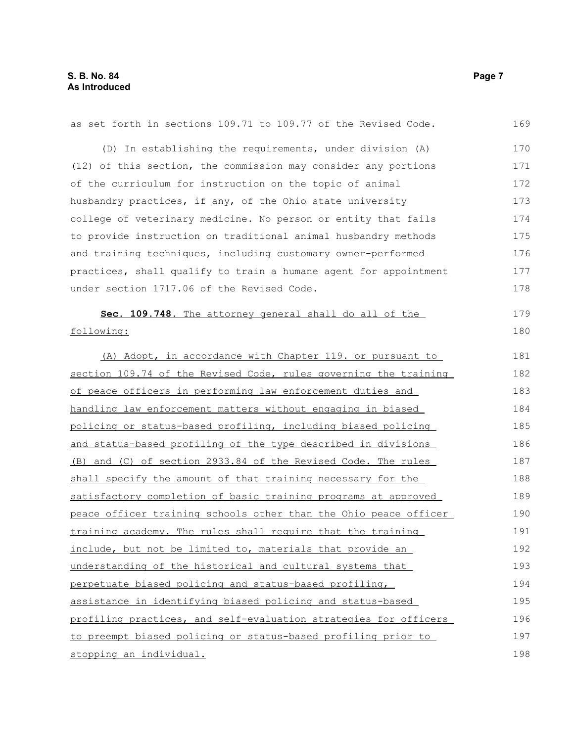| as set forth in sections 109.71 to 109.77 of the Revised Code.   | 169 |
|------------------------------------------------------------------|-----|
| (D) In establishing the requirements, under division (A)         | 170 |
| (12) of this section, the commission may consider any portions   | 171 |
| of the curriculum for instruction on the topic of animal         | 172 |
| husbandry practices, if any, of the Ohio state university        | 173 |
| college of veterinary medicine. No person or entity that fails   | 174 |
| to provide instruction on traditional animal husbandry methods   | 175 |
| and training techniques, including customary owner-performed     | 176 |
| practices, shall qualify to train a humane agent for appointment | 177 |
| under section 1717.06 of the Revised Code.                       | 178 |
| Sec. 109.748. The attorney general shall do all of the           | 179 |
| following:                                                       | 180 |
| (A) Adopt, in accordance with Chapter 119. or pursuant to        | 181 |
| section 109.74 of the Revised Code, rules governing the training | 182 |
| of peace officers in performing law enforcement duties and       | 183 |
| handling law enforcement matters without engaging in biased      | 184 |
| policing or status-based profiling, including biased policing    | 185 |
| and status-based profiling of the type described in divisions    | 186 |
| (B) and (C) of section 2933.84 of the Revised Code. The rules    | 187 |
| shall specify the amount of that training necessary for the      | 188 |
| satisfactory completion of basic training programs at approved   | 189 |
| peace officer training schools other than the Ohio peace officer | 190 |
| training academy. The rules shall require that the training      | 191 |
| include, but not be limited to, materials that provide an        | 192 |
| understanding of the historical and cultural systems that        | 193 |
| perpetuate biased policing and status-based profiling,           | 194 |
| assistance in identifying biased policing and status-based       | 195 |
| profiling practices, and self-evaluation strategies for officers | 196 |
| to preempt biased policing or status-based profiling prior to    | 197 |
| stopping an individual.                                          | 198 |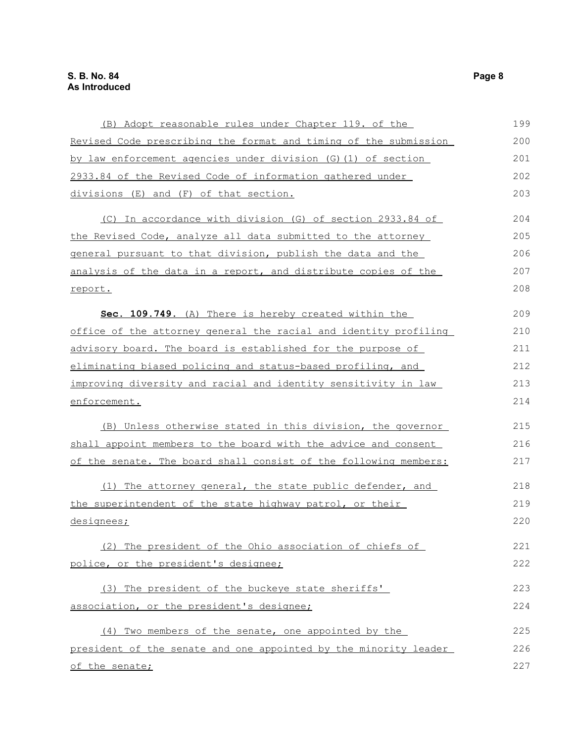| (B) Adopt reasonable rules under Chapter 119. of the             | 199 |
|------------------------------------------------------------------|-----|
| Revised Code prescribing the format and timing of the submission | 200 |
| by law enforcement agencies under division (G) (1) of section    | 201 |
| 2933.84 of the Revised Code of information gathered under        | 202 |
| divisions (E) and (F) of that section.                           | 203 |
| (C) In accordance with division (G) of section 2933.84 of        | 204 |
| the Revised Code, analyze all data submitted to the attorney     | 205 |
| general pursuant to that division, publish the data and the      | 206 |
| analysis of the data in a report, and distribute copies of the   | 207 |
| report.                                                          | 208 |
| Sec. 109.749. (A) There is hereby created within the             | 209 |
| office of the attorney general the racial and identity profiling | 210 |
| advisory board. The board is established for the purpose of      | 211 |
| eliminating biased policing and status-based profiling, and      | 212 |
| improving diversity and racial and identity sensitivity in law   | 213 |
| enforcement.                                                     | 214 |
| (B) Unless otherwise stated in this division, the governor       | 215 |
| shall appoint members to the board with the advice and consent   | 216 |
| of the senate. The board shall consist of the following members: | 217 |
| (1) The attorney general, the state public defender, and         | 218 |
| the superintendent of the state highway patrol, or their         | 219 |
| designees;                                                       | 220 |
| (2) The president of the Ohio association of chiefs of           | 221 |
| police, or the president's designee;                             | 222 |
| (3) The president of the buckeye state sheriffs'                 | 223 |
| association, or the president's designee;                        | 224 |
| (4) Two members of the senate, one appointed by the              | 225 |
| president of the senate and one appointed by the minority leader | 226 |
| of the senate;                                                   | 227 |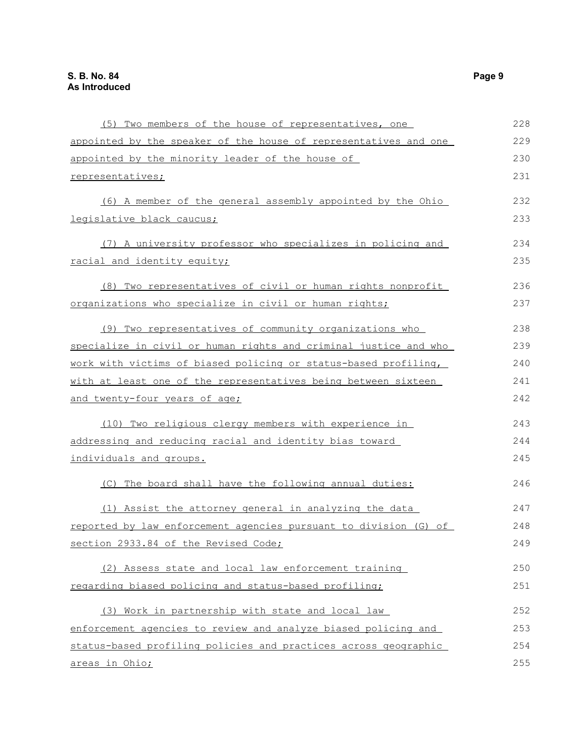| (5) Two members of the house of representatives, one             | 228 |
|------------------------------------------------------------------|-----|
| appointed by the speaker of the house of representatives and one | 229 |
| appointed by the minority leader of the house of                 | 230 |
| representatives;                                                 | 231 |
| (6) A member of the general assembly appointed by the Ohio       | 232 |
| legislative black caucus;                                        | 233 |
| (7) A university professor who specializes in policing and       | 234 |
| racial and identity equity;                                      | 235 |
| (8) Two representatives of civil or human rights nonprofit       | 236 |
| organizations who specialize in civil or human rights;           | 237 |
| (9) Two representatives of community organizations who           | 238 |
| specialize in civil or human rights and criminal justice and who | 239 |
| work with victims of biased policing or status-based profiling,  | 240 |
| with at least one of the representatives being between sixteen   | 241 |
| and twenty-four years of age;                                    | 242 |
| (10) Two religious clergy members with experience in             | 243 |
| addressing and reducing racial and identity bias toward          | 244 |
| individuals and groups.                                          | 245 |
| (C) The board shall have the following annual duties:            | 246 |
| (1) Assist the attorney general in analyzing the data            | 247 |
| reported by law enforcement agencies pursuant to division (G) of | 248 |
| section 2933.84 of the Revised Code;                             | 249 |
| (2) Assess state and local law enforcement training              | 250 |
| regarding biased policing and status-based profiling;            | 251 |
| (3) Work in partnership with state and local law                 | 252 |
| enforcement agencies to review and analyze biased policing and   | 253 |
| status-based profiling policies and practices across geographic  | 254 |
| areas in Ohio;                                                   | 255 |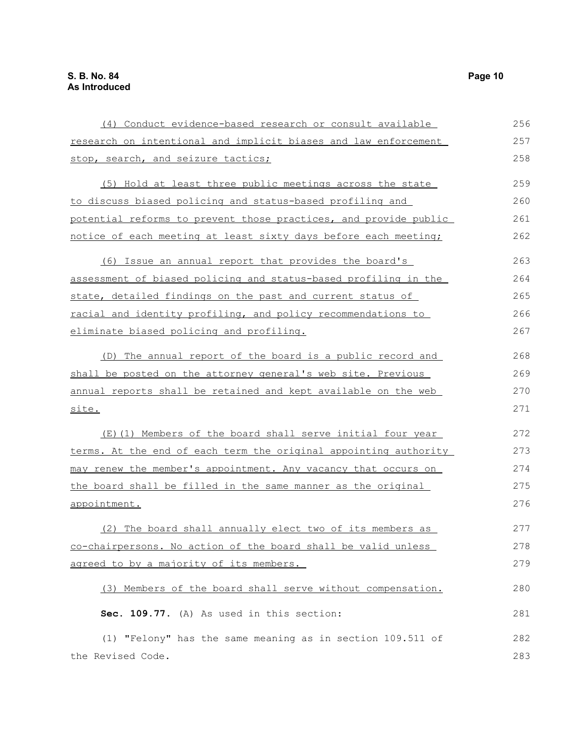| (4) Conduct evidence-based research or consult available         | 256 |
|------------------------------------------------------------------|-----|
| research on intentional and implicit biases and law enforcement  | 257 |
| stop, search, and seizure tactics;                               | 258 |
| (5) Hold at least three public meetings across the state         | 259 |
| to discuss biased policing and status-based profiling and        | 260 |
| potential reforms to prevent those practices, and provide public | 261 |
| notice of each meeting at least sixty days before each meeting;  | 262 |
| (6) Issue an annual report that provides the board's             | 263 |
| assessment of biased policing and status-based profiling in the  | 264 |
| state, detailed findings on the past and current status of       | 265 |
| racial and identity profiling, and policy recommendations to     | 266 |
| eliminate biased policing and profiling.                         | 267 |
| (D) The annual report of the board is a public record and        | 268 |
| shall be posted on the attorney general's web site. Previous     | 269 |
| annual reports shall be retained and kept available on the web   | 270 |
| site.                                                            | 271 |
| (E)(1) Members of the board shall serve initial four year        | 272 |
| terms. At the end of each term the original appointing authority | 273 |
| may renew the member's appointment. Any vacancy that occurs on   | 274 |
| the board shall be filled in the same manner as the original     | 275 |
| appointment.                                                     | 276 |
| (2) The board shall annually elect two of its members as         | 277 |
| co-chairpersons. No action of the board shall be valid unless    | 278 |
| agreed to by a majority of its members.                          | 279 |
| (3) Members of the board shall serve without compensation.       | 280 |
| Sec. 109.77. (A) As used in this section:                        | 281 |
| (1) "Felony" has the same meaning as in section 109.511 of       | 282 |
| the Revised Code.                                                | 283 |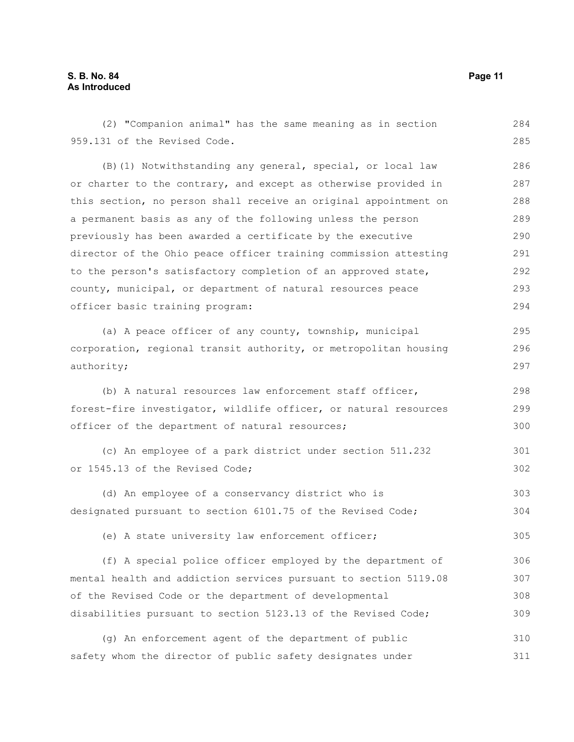#### **S. B. No. 84 Page 11 As Introduced**

959.131 of the Revised Code. (B)(1) Notwithstanding any general, special, or local law or charter to the contrary, and except as otherwise provided in this section, no person shall receive an original appointment on a permanent basis as any of the following unless the person previously has been awarded a certificate by the executive director of the Ohio peace officer training commission attesting to the person's satisfactory completion of an approved state, county, municipal, or department of natural resources peace officer basic training program: (a) A peace officer of any county, township, municipal corporation, regional transit authority, or metropolitan housing authority; (b) A natural resources law enforcement staff officer, forest-fire investigator, wildlife officer, or natural resources officer of the department of natural resources; (c) An employee of a park district under section 511.232 or 1545.13 of the Revised Code; (d) An employee of a conservancy district who is designated pursuant to section 6101.75 of the Revised Code; (e) A state university law enforcement officer; (f) A special police officer employed by the department of mental health and addiction services pursuant to section 5119.08 of the Revised Code or the department of developmental disabilities pursuant to section 5123.13 of the Revised Code; (g) An enforcement agent of the department of public safety whom the director of public safety designates under 285 286 287 288 289 290 291 292 293 294 295 296 297 298 299 300 301 302 303 304 305 306 307 308 309 310 311

(2) "Companion animal" has the same meaning as in section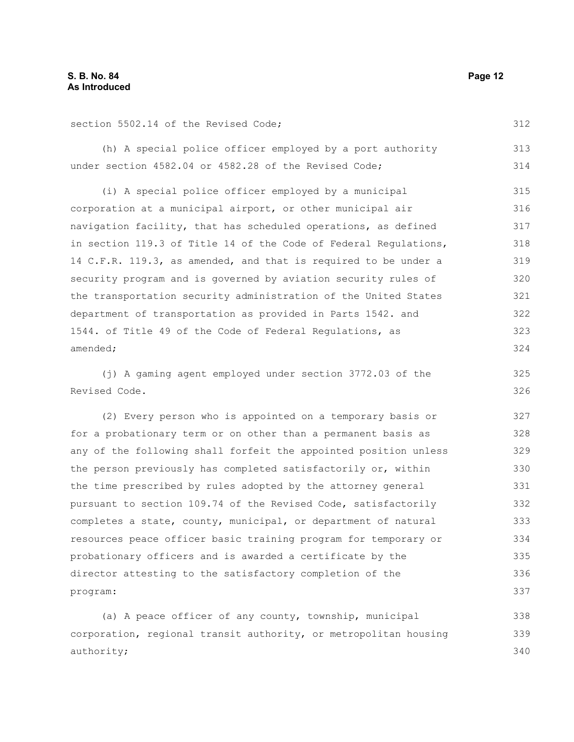section 5502.14 of the Revised Code;

(h) A special police officer employed by a port authority under section 4582.04 or 4582.28 of the Revised Code; 313 314

(i) A special police officer employed by a municipal corporation at a municipal airport, or other municipal air navigation facility, that has scheduled operations, as defined in section 119.3 of Title 14 of the Code of Federal Regulations, 14 C.F.R. 119.3, as amended, and that is required to be under a security program and is governed by aviation security rules of the transportation security administration of the United States department of transportation as provided in Parts 1542. and 1544. of Title 49 of the Code of Federal Regulations, as amended; 315 316 317 318 319 320 321 322 323 324

(j) A gaming agent employed under section 3772.03 of the Revised Code. 326

(2) Every person who is appointed on a temporary basis or for a probationary term or on other than a permanent basis as any of the following shall forfeit the appointed position unless the person previously has completed satisfactorily or, within the time prescribed by rules adopted by the attorney general pursuant to section 109.74 of the Revised Code, satisfactorily completes a state, county, municipal, or department of natural resources peace officer basic training program for temporary or probationary officers and is awarded a certificate by the director attesting to the satisfactory completion of the program: 327 328 329 330 331 333 334 335 336 337

(a) A peace officer of any county, township, municipal corporation, regional transit authority, or metropolitan housing authority; 338 339 340

312

325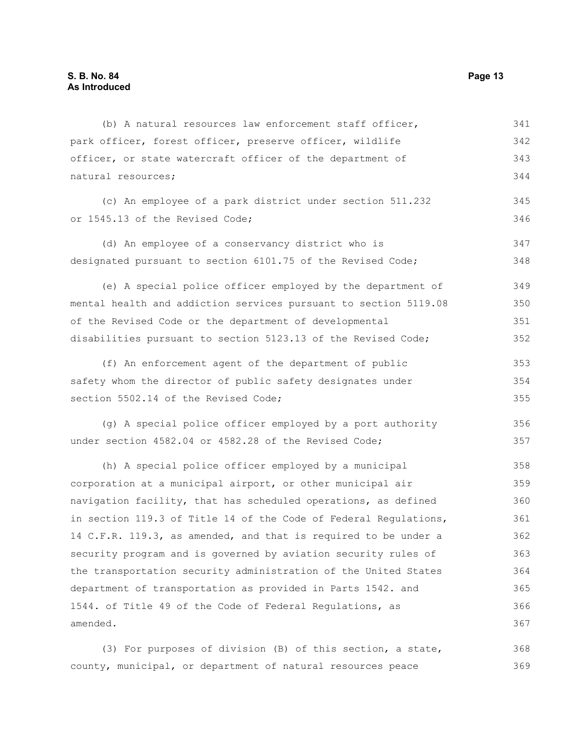(b) A natural resources law enforcement staff officer, park officer, forest officer, preserve officer, wildlife officer, or state watercraft officer of the department of natural resources; (c) An employee of a park district under section 511.232 or 1545.13 of the Revised Code; (d) An employee of a conservancy district who is designated pursuant to section 6101.75 of the Revised Code; (e) A special police officer employed by the department of mental health and addiction services pursuant to section 5119.08 of the Revised Code or the department of developmental disabilities pursuant to section 5123.13 of the Revised Code; (f) An enforcement agent of the department of public safety whom the director of public safety designates under section 5502.14 of the Revised Code; (g) A special police officer employed by a port authority under section 4582.04 or 4582.28 of the Revised Code; (h) A special police officer employed by a municipal corporation at a municipal airport, or other municipal air navigation facility, that has scheduled operations, as defined in section 119.3 of Title 14 of the Code of Federal Regulations, 14 C.F.R. 119.3, as amended, and that is required to be under a security program and is governed by aviation security rules of the transportation security administration of the United States department of transportation as provided in Parts 1542. and 1544. of Title 49 of the Code of Federal Regulations, as amended. 341 342 343 344 345 346 347 348 349 350 351 352 353 354 355 356 357 358 359 360 361 362 363 364 365 366 367

(3) For purposes of division (B) of this section, a state, county, municipal, or department of natural resources peace 368 369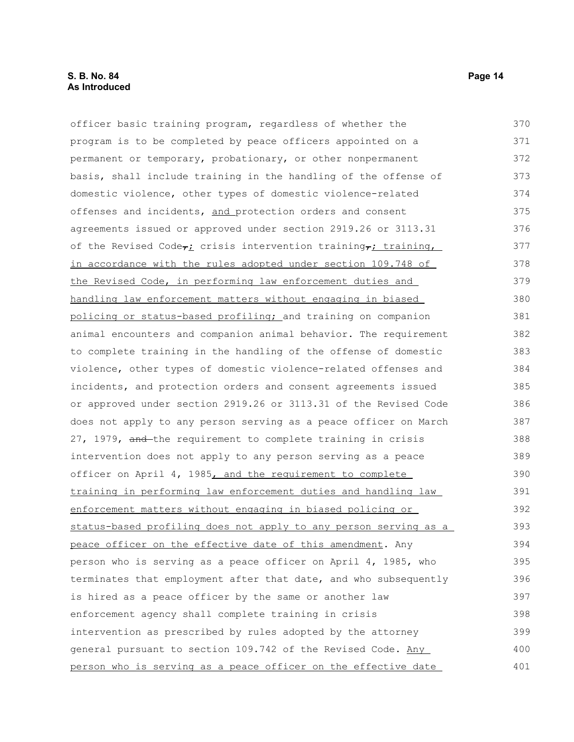#### **S. B. No. 84 Page 14 As Introduced**

officer basic training program, regardless of whether the program is to be completed by peace officers appointed on a permanent or temporary, probationary, or other nonpermanent basis, shall include training in the handling of the offense of domestic violence, other types of domestic violence-related offenses and incidents, and protection orders and consent agreements issued or approved under section 2919.26 or 3113.31 of the Revised Code $\tau_L$  crisis intervention training, training, in accordance with the rules adopted under section 109.748 of the Revised Code, in performing law enforcement duties and handling law enforcement matters without engaging in biased policing or status-based profiling; and training on companion animal encounters and companion animal behavior. The requirement to complete training in the handling of the offense of domestic violence, other types of domestic violence-related offenses and incidents, and protection orders and consent agreements issued or approved under section 2919.26 or 3113.31 of the Revised Code does not apply to any person serving as a peace officer on March 27, 1979, and the requirement to complete training in crisis intervention does not apply to any person serving as a peace officer on April 4, 1985, and the requirement to complete training in performing law enforcement duties and handling law enforcement matters without engaging in biased policing or status-based profiling does not apply to any person serving as a peace officer on the effective date of this amendment. Any person who is serving as a peace officer on April 4, 1985, who terminates that employment after that date, and who subsequently is hired as a peace officer by the same or another law enforcement agency shall complete training in crisis intervention as prescribed by rules adopted by the attorney general pursuant to section 109.742 of the Revised Code. Any person who is serving as a peace officer on the effective date 370 371 372 373 374 375 376 377 378 379 380 381 382 383 384 385 386 387 388 389 390 391 392 393 394 395 396 397 398 399 400 401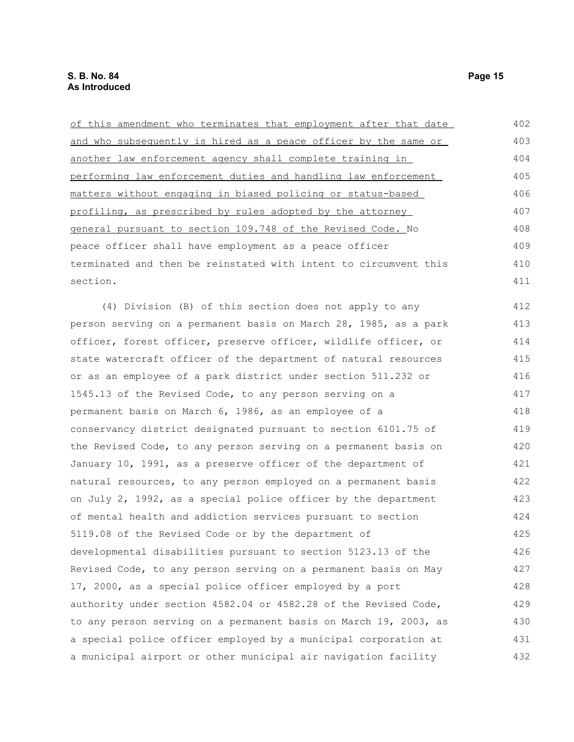of this amendment who terminates that employment after that date and who subsequently is hired as a peace officer by the same or another law enforcement agency shall complete training in performing law enforcement duties and handling law enforcement matters without engaging in biased policing or status-based profiling, as prescribed by rules adopted by the attorney general pursuant to section 109.748 of the Revised Code. No peace officer shall have employment as a peace officer terminated and then be reinstated with intent to circumvent this section. 402 403 404 405 406 407 408 409 410 411

(4) Division (B) of this section does not apply to any person serving on a permanent basis on March 28, 1985, as a park officer, forest officer, preserve officer, wildlife officer, or state watercraft officer of the department of natural resources or as an employee of a park district under section 511.232 or 1545.13 of the Revised Code, to any person serving on a permanent basis on March 6, 1986, as an employee of a conservancy district designated pursuant to section 6101.75 of the Revised Code, to any person serving on a permanent basis on January 10, 1991, as a preserve officer of the department of natural resources, to any person employed on a permanent basis on July 2, 1992, as a special police officer by the department of mental health and addiction services pursuant to section 5119.08 of the Revised Code or by the department of developmental disabilities pursuant to section 5123.13 of the Revised Code, to any person serving on a permanent basis on May 17, 2000, as a special police officer employed by a port authority under section 4582.04 or 4582.28 of the Revised Code, to any person serving on a permanent basis on March 19, 2003, as a special police officer employed by a municipal corporation at a municipal airport or other municipal air navigation facility 412 413 414 415 416 417 418 419 420 421 422 423 424 425 426 427 428 429 430 431 432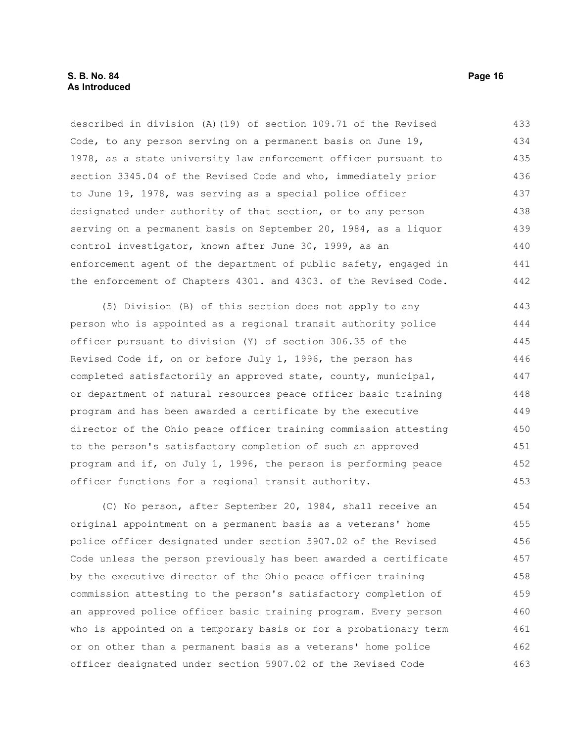described in division (A)(19) of section 109.71 of the Revised Code, to any person serving on a permanent basis on June 19, 1978, as a state university law enforcement officer pursuant to section 3345.04 of the Revised Code and who, immediately prior to June 19, 1978, was serving as a special police officer designated under authority of that section, or to any person serving on a permanent basis on September 20, 1984, as a liquor control investigator, known after June 30, 1999, as an enforcement agent of the department of public safety, engaged in the enforcement of Chapters 4301. and 4303. of the Revised Code. 433 434 435 436 437 438 439 440 441 442

(5) Division (B) of this section does not apply to any person who is appointed as a regional transit authority police officer pursuant to division (Y) of section 306.35 of the Revised Code if, on or before July 1, 1996, the person has completed satisfactorily an approved state, county, municipal, or department of natural resources peace officer basic training program and has been awarded a certificate by the executive director of the Ohio peace officer training commission attesting to the person's satisfactory completion of such an approved program and if, on July 1, 1996, the person is performing peace officer functions for a regional transit authority. 443 444 445 446 447 448 449 450 451 452 453

(C) No person, after September 20, 1984, shall receive an original appointment on a permanent basis as a veterans' home police officer designated under section 5907.02 of the Revised Code unless the person previously has been awarded a certificate by the executive director of the Ohio peace officer training commission attesting to the person's satisfactory completion of an approved police officer basic training program. Every person who is appointed on a temporary basis or for a probationary term or on other than a permanent basis as a veterans' home police officer designated under section 5907.02 of the Revised Code 454 455 456 457 458 459 460 461 462 463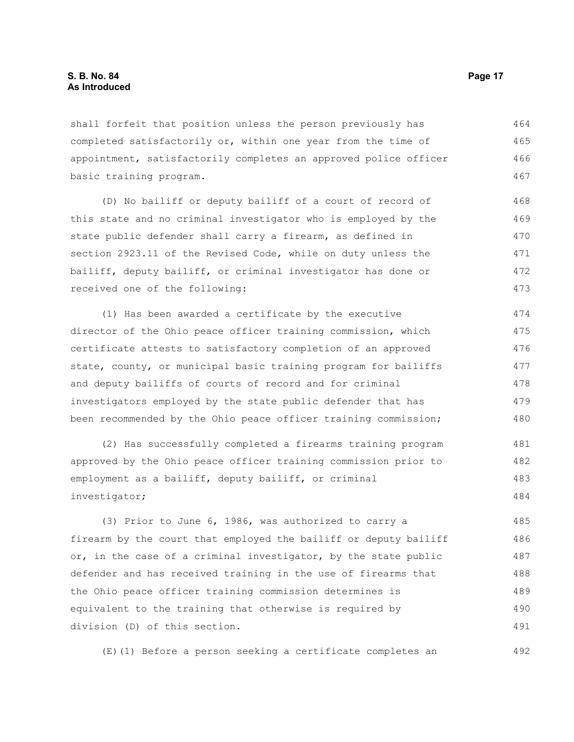shall forfeit that position unless the person previously has completed satisfactorily or, within one year from the time of appointment, satisfactorily completes an approved police officer basic training program. 464 465 466 467

(D) No bailiff or deputy bailiff of a court of record of this state and no criminal investigator who is employed by the state public defender shall carry a firearm, as defined in section 2923.11 of the Revised Code, while on duty unless the bailiff, deputy bailiff, or criminal investigator has done or received one of the following: 468 469 470 471 472 473

(1) Has been awarded a certificate by the executive director of the Ohio peace officer training commission, which certificate attests to satisfactory completion of an approved state, county, or municipal basic training program for bailiffs and deputy bailiffs of courts of record and for criminal investigators employed by the state public defender that has been recommended by the Ohio peace officer training commission; 474 475 476 477 478 479 480

(2) Has successfully completed a firearms training program approved by the Ohio peace officer training commission prior to employment as a bailiff, deputy bailiff, or criminal investigator; 481 482 483 484

(3) Prior to June 6, 1986, was authorized to carry a firearm by the court that employed the bailiff or deputy bailiff or, in the case of a criminal investigator, by the state public defender and has received training in the use of firearms that the Ohio peace officer training commission determines is equivalent to the training that otherwise is required by division (D) of this section. 485 486 487 488 489 490 491

(E)(1) Before a person seeking a certificate completes an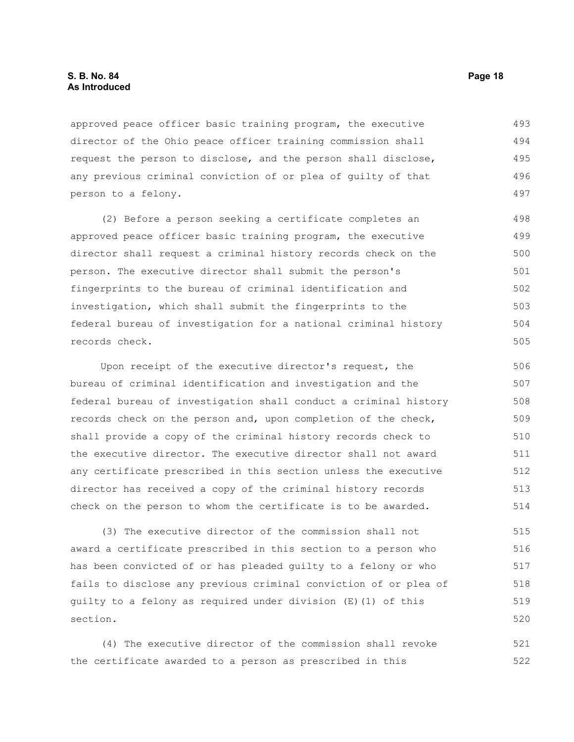#### **S. B. No. 84 Page 18 As Introduced**

approved peace officer basic training program, the executive director of the Ohio peace officer training commission shall request the person to disclose, and the person shall disclose, any previous criminal conviction of or plea of guilty of that person to a felony. 493 494 495 496 497

(2) Before a person seeking a certificate completes an approved peace officer basic training program, the executive director shall request a criminal history records check on the person. The executive director shall submit the person's fingerprints to the bureau of criminal identification and investigation, which shall submit the fingerprints to the federal bureau of investigation for a national criminal history records check. 498 499 500 501 502 503 504 505

Upon receipt of the executive director's request, the bureau of criminal identification and investigation and the federal bureau of investigation shall conduct a criminal history records check on the person and, upon completion of the check, shall provide a copy of the criminal history records check to the executive director. The executive director shall not award any certificate prescribed in this section unless the executive director has received a copy of the criminal history records check on the person to whom the certificate is to be awarded. 506 507 508 509 510 511 512 513 514

(3) The executive director of the commission shall not award a certificate prescribed in this section to a person who has been convicted of or has pleaded guilty to a felony or who fails to disclose any previous criminal conviction of or plea of guilty to a felony as required under division (E)(1) of this section. 515 516 517 518 519 520

(4) The executive director of the commission shall revoke the certificate awarded to a person as prescribed in this 521 522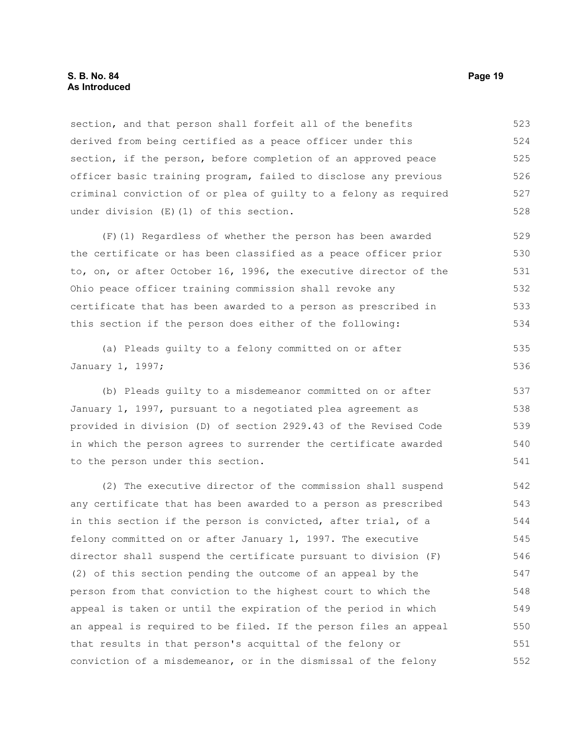#### **S. B. No. 84 Page 19 As Introduced**

section, and that person shall forfeit all of the benefits derived from being certified as a peace officer under this section, if the person, before completion of an approved peace officer basic training program, failed to disclose any previous criminal conviction of or plea of guilty to a felony as required under division (E)(1) of this section. 523 524 525 526 527 528

(F)(1) Regardless of whether the person has been awarded the certificate or has been classified as a peace officer prior to, on, or after October 16, 1996, the executive director of the Ohio peace officer training commission shall revoke any certificate that has been awarded to a person as prescribed in this section if the person does either of the following: 529 530 531 532 533 534

(a) Pleads guilty to a felony committed on or after January 1, 1997; 535 536

(b) Pleads guilty to a misdemeanor committed on or after January 1, 1997, pursuant to a negotiated plea agreement as provided in division (D) of section 2929.43 of the Revised Code in which the person agrees to surrender the certificate awarded to the person under this section.

(2) The executive director of the commission shall suspend any certificate that has been awarded to a person as prescribed in this section if the person is convicted, after trial, of a felony committed on or after January 1, 1997. The executive director shall suspend the certificate pursuant to division (F) (2) of this section pending the outcome of an appeal by the person from that conviction to the highest court to which the appeal is taken or until the expiration of the period in which an appeal is required to be filed. If the person files an appeal that results in that person's acquittal of the felony or conviction of a misdemeanor, or in the dismissal of the felony 542 543 544 545 546 547 548 549 550 551 552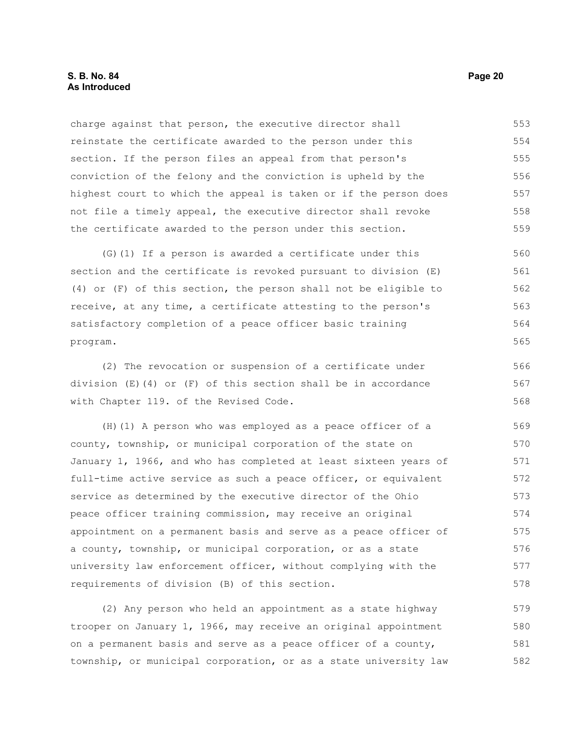charge against that person, the executive director shall reinstate the certificate awarded to the person under this section. If the person files an appeal from that person's conviction of the felony and the conviction is upheld by the highest court to which the appeal is taken or if the person does not file a timely appeal, the executive director shall revoke the certificate awarded to the person under this section. 553 554 555 556 557 558 559

(G)(1) If a person is awarded a certificate under this section and the certificate is revoked pursuant to division (E) (4) or (F) of this section, the person shall not be eligible to receive, at any time, a certificate attesting to the person's satisfactory completion of a peace officer basic training program. 560 561 562 563 564 565

(2) The revocation or suspension of a certificate under division  $(E)(4)$  or  $(F)$  of this section shall be in accordance with Chapter 119. of the Revised Code.

(H)(1) A person who was employed as a peace officer of a county, township, or municipal corporation of the state on January 1, 1966, and who has completed at least sixteen years of full-time active service as such a peace officer, or equivalent service as determined by the executive director of the Ohio peace officer training commission, may receive an original appointment on a permanent basis and serve as a peace officer of a county, township, or municipal corporation, or as a state university law enforcement officer, without complying with the requirements of division (B) of this section. 569 570 571 572 573 574 575 576 577 578

(2) Any person who held an appointment as a state highway trooper on January 1, 1966, may receive an original appointment on a permanent basis and serve as a peace officer of a county, township, or municipal corporation, or as a state university law 579 580 581 582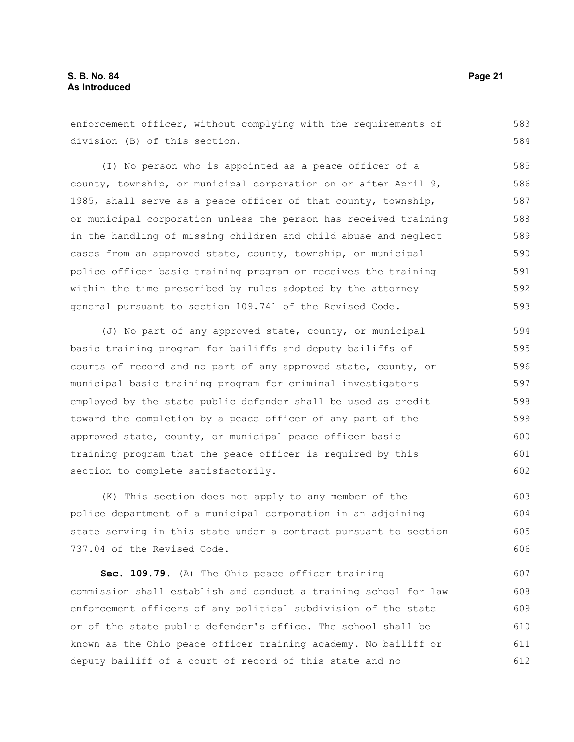enforcement officer, without complying with the requirements of division (B) of this section. (I) No person who is appointed as a peace officer of a county, township, or municipal corporation on or after April 9, 1985, shall serve as a peace officer of that county, township, or municipal corporation unless the person has received training in the handling of missing children and child abuse and neglect cases from an approved state, county, township, or municipal police officer basic training program or receives the training within the time prescribed by rules adopted by the attorney general pursuant to section 109.741 of the Revised Code. (J) No part of any approved state, county, or municipal basic training program for bailiffs and deputy bailiffs of courts of record and no part of any approved state, county, or 583 584 585 586 587 588 589 590 591 592 593 594 595 596

municipal basic training program for criminal investigators employed by the state public defender shall be used as credit toward the completion by a peace officer of any part of the approved state, county, or municipal peace officer basic training program that the peace officer is required by this section to complete satisfactorily. 597 598 599 600 601 602

(K) This section does not apply to any member of the police department of a municipal corporation in an adjoining state serving in this state under a contract pursuant to section 737.04 of the Revised Code. 603 604 605 606

**Sec. 109.79.** (A) The Ohio peace officer training commission shall establish and conduct a training school for law enforcement officers of any political subdivision of the state or of the state public defender's office. The school shall be known as the Ohio peace officer training academy. No bailiff or deputy bailiff of a court of record of this state and no 607 608 609 610 611 612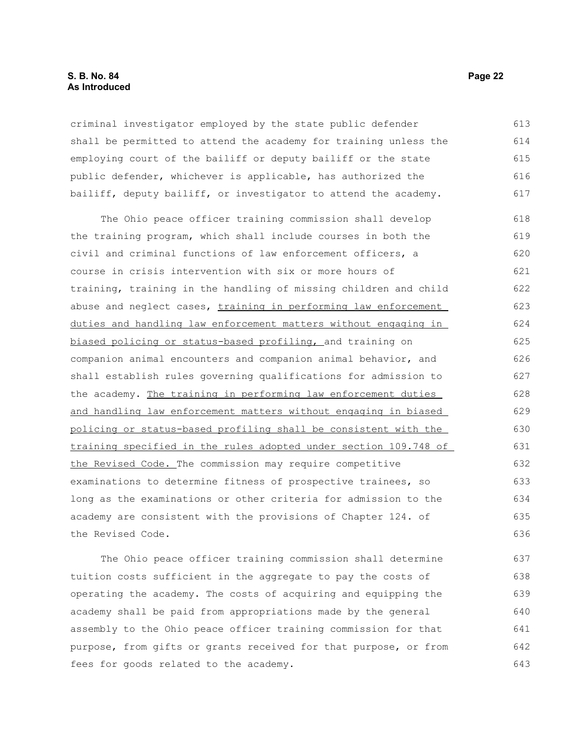#### **S. B. No. 84 Page 22 As Introduced**

criminal investigator employed by the state public defender shall be permitted to attend the academy for training unless the employing court of the bailiff or deputy bailiff or the state public defender, whichever is applicable, has authorized the bailiff, deputy bailiff, or investigator to attend the academy. 613 614 615 616 617

The Ohio peace officer training commission shall develop the training program, which shall include courses in both the civil and criminal functions of law enforcement officers, a course in crisis intervention with six or more hours of training, training in the handling of missing children and child abuse and neglect cases, training in performing law enforcement duties and handling law enforcement matters without engaging in biased policing or status-based profiling, and training on companion animal encounters and companion animal behavior, and shall establish rules governing qualifications for admission to the academy. The training in performing law enforcement duties and handling law enforcement matters without engaging in biased policing or status-based profiling shall be consistent with the training specified in the rules adopted under section 109.748 of the Revised Code. The commission may require competitive examinations to determine fitness of prospective trainees, so long as the examinations or other criteria for admission to the academy are consistent with the provisions of Chapter 124. of the Revised Code. 618 619 620 621 622 623 624 625 626 627 628 629 630 631 632 633 634 635 636

The Ohio peace officer training commission shall determine tuition costs sufficient in the aggregate to pay the costs of operating the academy. The costs of acquiring and equipping the academy shall be paid from appropriations made by the general assembly to the Ohio peace officer training commission for that purpose, from gifts or grants received for that purpose, or from fees for goods related to the academy. 637 638 639 640 641 642 643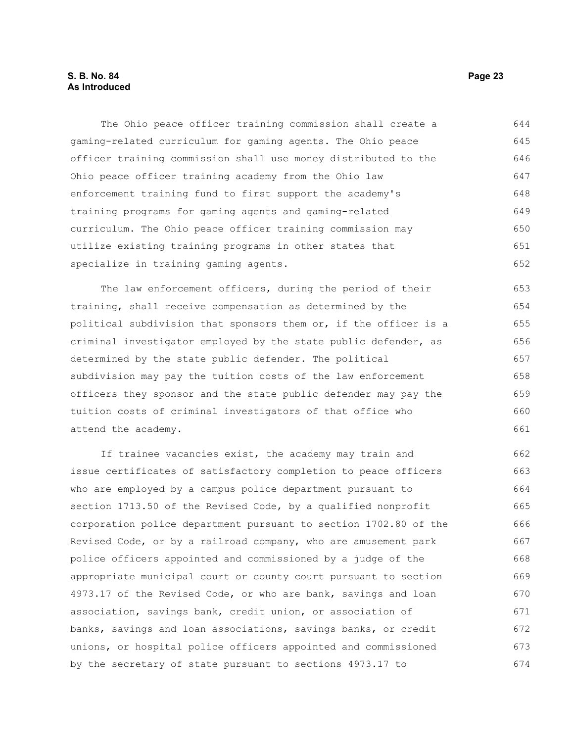The Ohio peace officer training commission shall create a gaming-related curriculum for gaming agents. The Ohio peace officer training commission shall use money distributed to the Ohio peace officer training academy from the Ohio law enforcement training fund to first support the academy's training programs for gaming agents and gaming-related curriculum. The Ohio peace officer training commission may utilize existing training programs in other states that specialize in training gaming agents. 644 645 646 647 648 649 650 651 652

The law enforcement officers, during the period of their training, shall receive compensation as determined by the political subdivision that sponsors them or, if the officer is a criminal investigator employed by the state public defender, as determined by the state public defender. The political subdivision may pay the tuition costs of the law enforcement officers they sponsor and the state public defender may pay the tuition costs of criminal investigators of that office who attend the academy. 653 654 655 656 657 658 659 660 661

If trainee vacancies exist, the academy may train and issue certificates of satisfactory completion to peace officers who are employed by a campus police department pursuant to section 1713.50 of the Revised Code, by a qualified nonprofit corporation police department pursuant to section 1702.80 of the Revised Code, or by a railroad company, who are amusement park police officers appointed and commissioned by a judge of the appropriate municipal court or county court pursuant to section 4973.17 of the Revised Code, or who are bank, savings and loan association, savings bank, credit union, or association of banks, savings and loan associations, savings banks, or credit unions, or hospital police officers appointed and commissioned by the secretary of state pursuant to sections 4973.17 to 662 663 664 665 666 667 668 669 670 671 672 673 674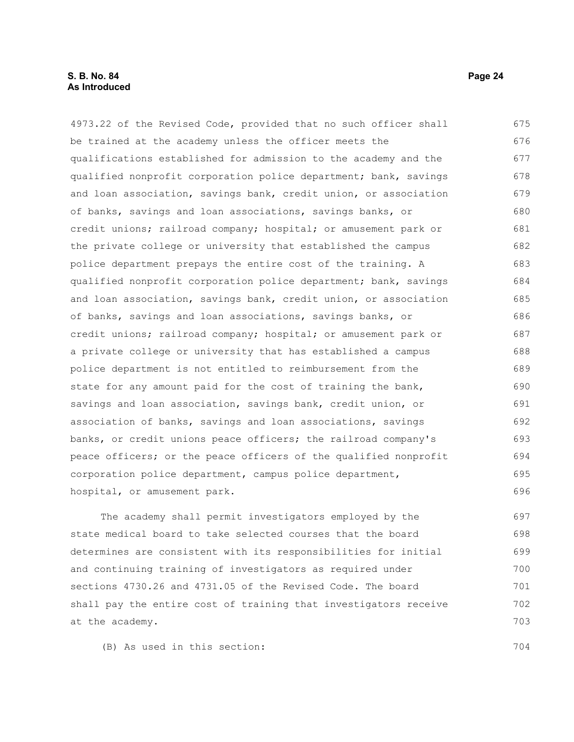#### **S. B. No. 84 Page 24 As Introduced**

4973.22 of the Revised Code, provided that no such officer shall be trained at the academy unless the officer meets the qualifications established for admission to the academy and the qualified nonprofit corporation police department; bank, savings and loan association, savings bank, credit union, or association of banks, savings and loan associations, savings banks, or credit unions; railroad company; hospital; or amusement park or the private college or university that established the campus police department prepays the entire cost of the training. A qualified nonprofit corporation police department; bank, savings and loan association, savings bank, credit union, or association of banks, savings and loan associations, savings banks, or credit unions; railroad company; hospital; or amusement park or a private college or university that has established a campus police department is not entitled to reimbursement from the state for any amount paid for the cost of training the bank, savings and loan association, savings bank, credit union, or association of banks, savings and loan associations, savings banks, or credit unions peace officers; the railroad company's peace officers; or the peace officers of the qualified nonprofit corporation police department, campus police department, hospital, or amusement park. 675 676 677 678 679 680 681 682 683 684 685 686 687 688 689 690 691 692 693 694 695 696

The academy shall permit investigators employed by the state medical board to take selected courses that the board determines are consistent with its responsibilities for initial and continuing training of investigators as required under sections 4730.26 and 4731.05 of the Revised Code. The board shall pay the entire cost of training that investigators receive at the academy. 697 698 699 700 701 702 703

(B) As used in this section: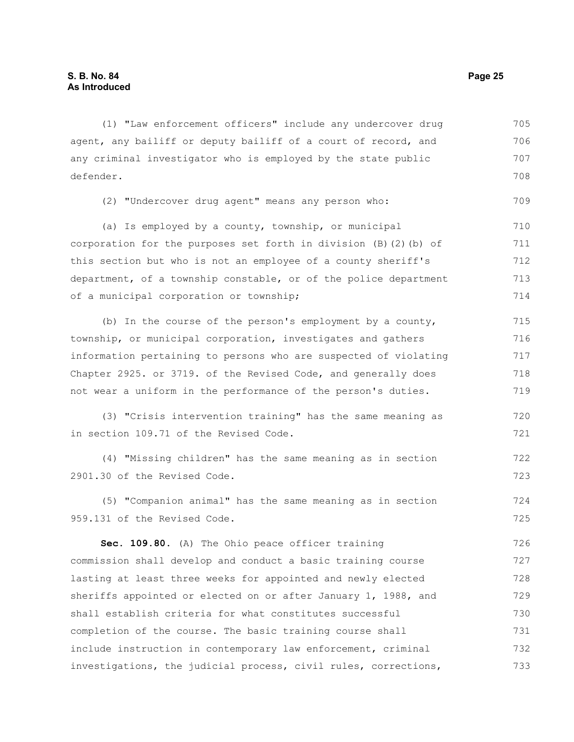(1) "Law enforcement officers" include any undercover drug agent, any bailiff or deputy bailiff of a court of record, and any criminal investigator who is employed by the state public defender. 705 706 707 708

(2) "Undercover drug agent" means any person who:

(a) Is employed by a county, township, or municipal corporation for the purposes set forth in division (B)(2)(b) of this section but who is not an employee of a county sheriff's department, of a township constable, or of the police department of a municipal corporation or township; 710 711 712 713 714

(b) In the course of the person's employment by a county, township, or municipal corporation, investigates and gathers information pertaining to persons who are suspected of violating Chapter 2925. or 3719. of the Revised Code, and generally does not wear a uniform in the performance of the person's duties. 715 716 717 718 719

(3) "Crisis intervention training" has the same meaning as in section 109.71 of the Revised Code. 720 721

(4) "Missing children" has the same meaning as in section 2901.30 of the Revised Code. 722 723

(5) "Companion animal" has the same meaning as in section 959.131 of the Revised Code. 724 725

**Sec. 109.80.** (A) The Ohio peace officer training commission shall develop and conduct a basic training course lasting at least three weeks for appointed and newly elected sheriffs appointed or elected on or after January 1, 1988, and shall establish criteria for what constitutes successful completion of the course. The basic training course shall include instruction in contemporary law enforcement, criminal investigations, the judicial process, civil rules, corrections, 726 727 728 729 730 731 732 733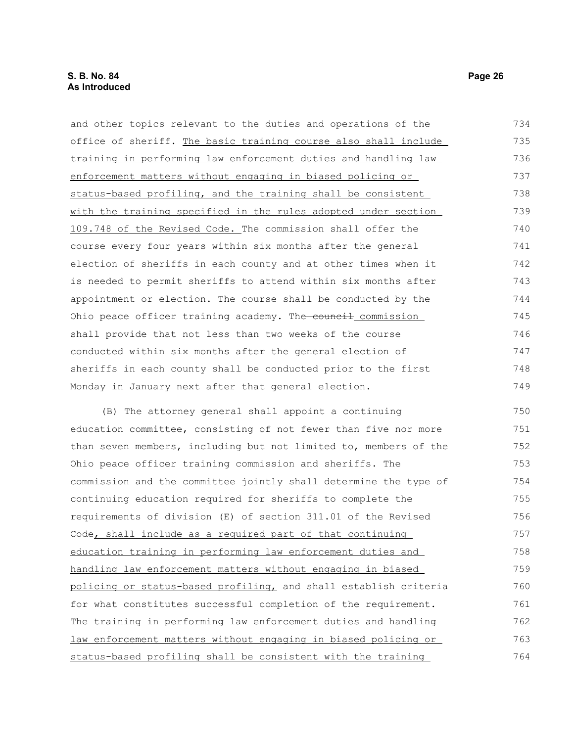and other topics relevant to the duties and operations of the office of sheriff. The basic training course also shall include training in performing law enforcement duties and handling law enforcement matters without engaging in biased policing or status-based profiling, and the training shall be consistent with the training specified in the rules adopted under section 109.748 of the Revised Code. The commission shall offer the course every four years within six months after the general election of sheriffs in each county and at other times when it is needed to permit sheriffs to attend within six months after appointment or election. The course shall be conducted by the Ohio peace officer training academy. The council commission shall provide that not less than two weeks of the course conducted within six months after the general election of sheriffs in each county shall be conducted prior to the first Monday in January next after that general election. 734 735 736 737 738 739 740 741 742 743 744 745 746 747 748 749

(B) The attorney general shall appoint a continuing education committee, consisting of not fewer than five nor more than seven members, including but not limited to, members of the Ohio peace officer training commission and sheriffs. The commission and the committee jointly shall determine the type of continuing education required for sheriffs to complete the requirements of division (E) of section 311.01 of the Revised Code, shall include as a required part of that continuing education training in performing law enforcement duties and handling law enforcement matters without engaging in biased policing or status-based profiling, and shall establish criteria for what constitutes successful completion of the requirement. The training in performing law enforcement duties and handling law enforcement matters without engaging in biased policing or status-based profiling shall be consistent with the training 750 751 752 753 754 755 756 757 758 759 760 761 762 763 764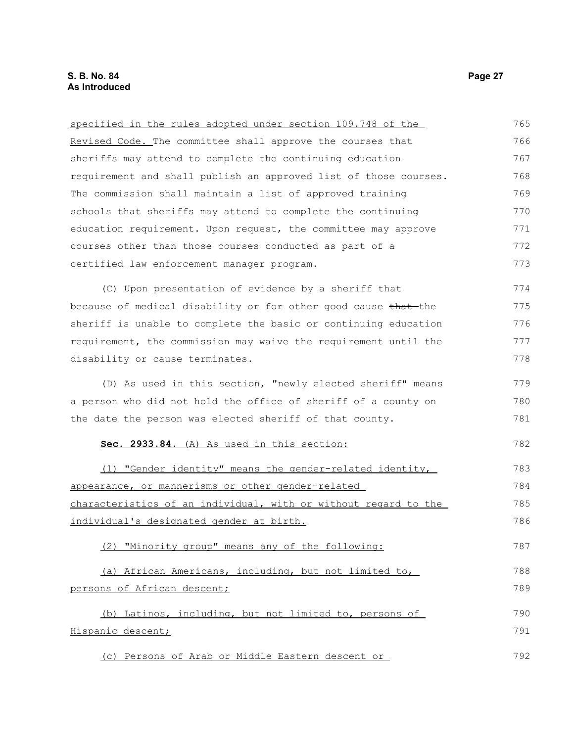| specified in the rules adopted under section 109.748 of the      | 765 |
|------------------------------------------------------------------|-----|
| Revised Code. The committee shall approve the courses that       | 766 |
| sheriffs may attend to complete the continuing education         | 767 |
| requirement and shall publish an approved list of those courses. | 768 |
| The commission shall maintain a list of approved training        | 769 |
| schools that sheriffs may attend to complete the continuing      | 770 |
| education requirement. Upon request, the committee may approve   | 771 |
| courses other than those courses conducted as part of a          | 772 |
| certified law enforcement manager program.                       | 773 |
| (C) Upon presentation of evidence by a sheriff that              | 774 |
| because of medical disability or for other good cause that the   | 775 |
| sheriff is unable to complete the basic or continuing education  | 776 |
| requirement, the commission may waive the requirement until the  | 777 |
| disability or cause terminates.                                  | 778 |
| (D) As used in this section, "newly elected sheriff" means       | 779 |
| a person who did not hold the office of sheriff of a county on   | 780 |
| the date the person was elected sheriff of that county.          | 781 |
| Sec. 2933.84. (A) As used in this section:                       | 782 |
| (1) "Gender identity" means the gender-related identity,         | 783 |
| appearance, or mannerisms or other gender-related                | 784 |
| characteristics of an individual, with or without regard to the  | 785 |
| individual's designated gender at birth.                         | 786 |
| (2) "Minority group" means any of the following:                 | 787 |
| (a) African Americans, including, but not limited to,            | 788 |
| persons of African descent;                                      | 789 |
| (b) Latinos, including, but not limited to, persons of           | 790 |
| Hispanic descent;                                                | 791 |
| (c) Persons of Arab or Middle Eastern descent or                 | 792 |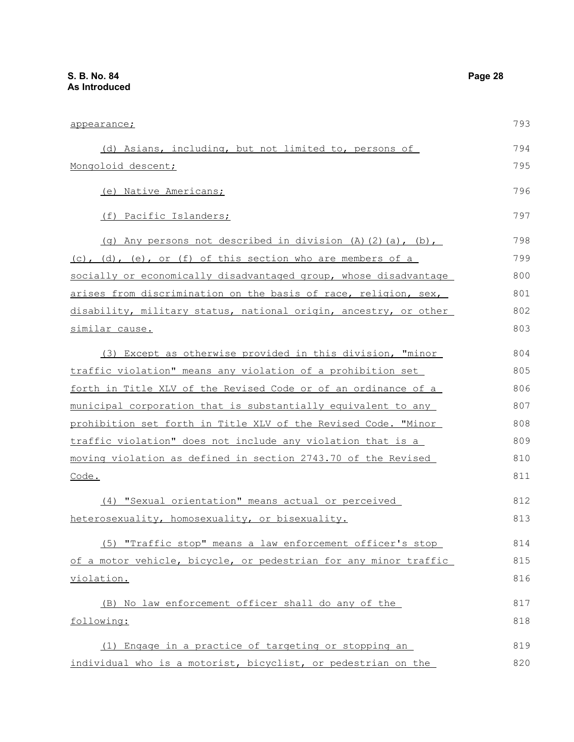| appearance;                                                      | 793 |
|------------------------------------------------------------------|-----|
| (d) Asians, including, but not limited to, persons of            | 794 |
| Mongoloid descent;                                               | 795 |
| (e) Native Americans;                                            | 796 |
| (f) Pacific Islanders;                                           | 797 |
| (g) Any persons not described in division (A)(2)(a), (b),        | 798 |
| (c), (d), (e), or (f) of this section who are members of a       | 799 |
| socially or economically disadvantaged group, whose disadvantage | 800 |
| arises from discrimination on the basis of race, religion, sex,  | 801 |
| disability, military status, national origin, ancestry, or other | 802 |
| <u>similar cause.</u>                                            | 803 |
| (3) Except as otherwise provided in this division, "minor        | 804 |
| traffic violation" means any violation of a prohibition set      | 805 |
| forth in Title XLV of the Revised Code or of an ordinance of a   | 806 |
| municipal corporation that is substantially equivalent to any    | 807 |
| prohibition set forth in Title XLV of the Revised Code. "Minor   | 808 |
| traffic violation" does not include any violation that is a      | 809 |
| moving violation as defined in section 2743.70 of the Revised    | 810 |
| Code.                                                            | 811 |
| (4) "Sexual orientation" means actual or perceived               | 812 |
| heterosexuality, homosexuality, or bisexuality.                  | 813 |
| (5) "Traffic stop" means a law enforcement officer's stop        | 814 |
| of a motor vehicle, bicycle, or pedestrian for any minor traffic | 815 |
| violation.                                                       | 816 |
| (B) No law enforcement officer shall do any of the               | 817 |
| following:                                                       | 818 |
| (1) Engage in a practice of targeting or stopping an             | 819 |
| individual who is a motorist, bicyclist, or pedestrian on the    | 820 |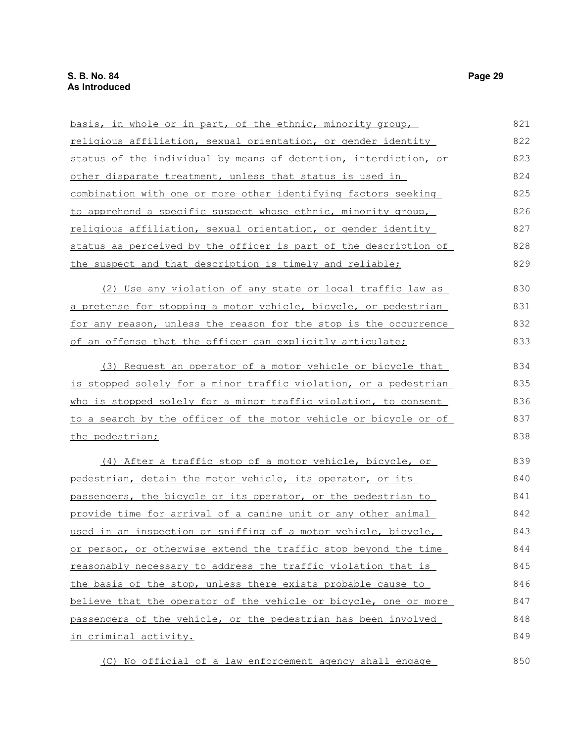| basis, in whole or in part, of the ethnic, minority group,       | 821 |
|------------------------------------------------------------------|-----|
| religious affiliation, sexual orientation, or gender identity    | 822 |
| status of the individual by means of detention, interdiction, or | 823 |
| other disparate treatment, unless that status is used in         | 824 |
| combination with one or more other identifying factors seeking   | 825 |
| to apprehend a specific suspect whose ethnic, minority group,    | 826 |
| religious affiliation, sexual orientation, or gender identity    | 827 |
| status as perceived by the officer is part of the description of | 828 |
| the suspect and that description is timely and reliable;         | 829 |
| (2) Use any violation of any state or local traffic law as       | 830 |
| a pretense for stopping a motor vehicle, bicycle, or pedestrian  | 831 |
| for any reason, unless the reason for the stop is the occurrence | 832 |
| of an offense that the officer can explicitly articulate;        | 833 |
| (3) Request an operator of a motor vehicle or bicycle that       | 834 |
| is stopped solely for a minor traffic violation, or a pedestrian | 835 |
| who is stopped solely for a minor traffic violation, to consent  | 836 |
| to a search by the officer of the motor vehicle or bicycle or of | 837 |
| the pedestrian;                                                  | 838 |
| (4) After a traffic stop of a motor vehicle, bicycle, or         | 839 |
| pedestrian, detain the motor vehicle, its operator, or its       | 840 |
| passengers, the bicycle or its operator, or the pedestrian to    | 841 |
| provide time for arrival of a canine unit or any other animal    | 842 |
| used in an inspection or sniffing of a motor vehicle, bicycle,   | 843 |
| or person, or otherwise extend the traffic stop beyond the time  | 844 |
| reasonably necessary to address the traffic violation that is    | 845 |
| the basis of the stop, unless there exists probable cause to     | 846 |
| believe that the operator of the vehicle or bicycle, one or more | 847 |
| passengers of the vehicle, or the pedestrian has been involved   | 848 |
| in criminal activity.                                            | 849 |
| (C) No official of a law enforcement agency shall engage         | 850 |

(C) No official of a law enforcement agency shall engage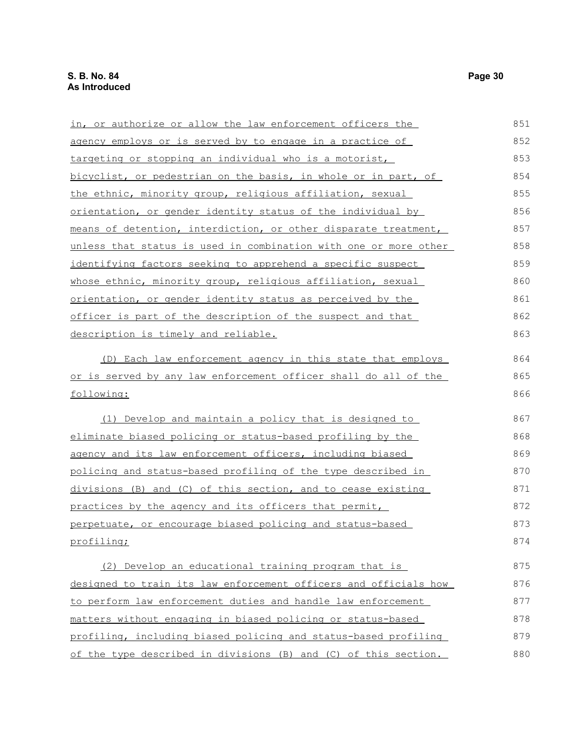| in, or authorize or allow the law enforcement officers the       | 851 |
|------------------------------------------------------------------|-----|
| agency employs or is served by to engage in a practice of        | 852 |
| targeting or stopping an individual who is a motorist,           | 853 |
| bicyclist, or pedestrian on the basis, in whole or in part, of   | 854 |
| the ethnic, minority group, religious affiliation, sexual        | 855 |
| orientation, or gender identity status of the individual by      | 856 |
| means of detention, interdiction, or other disparate treatment,  | 857 |
| unless that status is used in combination with one or more other | 858 |
| identifying factors seeking to apprehend a specific suspect      | 859 |
| whose ethnic, minority group, religious affiliation, sexual      | 860 |
| orientation, or gender identity status as perceived by the       | 861 |
| officer is part of the description of the suspect and that       | 862 |
| <u>description is timely and reliable.</u>                       | 863 |
| (D) Each law enforcement agency in this state that employs       | 864 |
| or is served by any law enforcement officer shall do all of the  | 865 |
| following:                                                       | 866 |
| (1) Develop and maintain a policy that is designed to            | 867 |
| eliminate biased policing or status-based profiling by the       | 868 |
| agency and its law enforcement officers, including biased        | 869 |
| policing and status-based profiling of the type described in     | 870 |
| divisions (B) and (C) of this section, and to cease existing     | 871 |
| practices by the agency and its officers that permit,            | 872 |
| perpetuate, or encourage biased policing and status-based        | 873 |
| profiling;                                                       | 874 |
| (2) Develop an educational training program that is              | 875 |
| designed to train its law enforcement officers and officials how | 876 |
| to perform law enforcement duties and handle law enforcement     | 877 |
| matters without engaging in biased policing or status-based      | 878 |
| profiling, including biased policing and status-based profiling  | 879 |
| of the type described in divisions (B) and (C) of this section.  | 880 |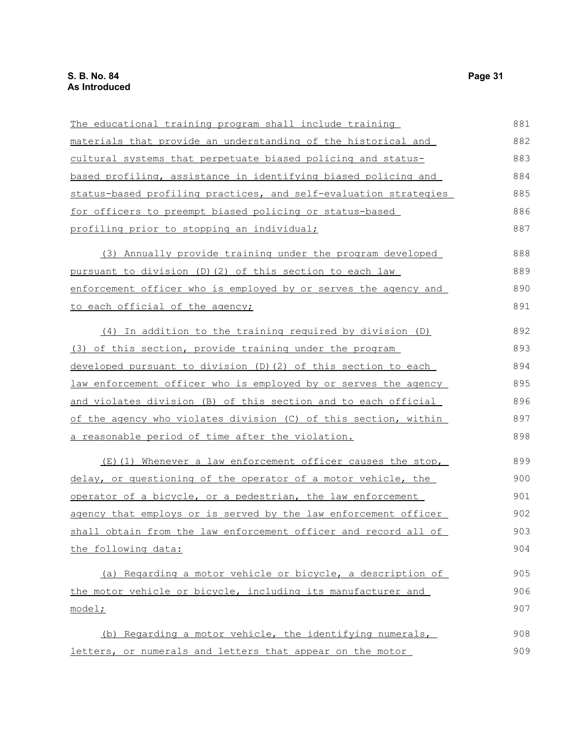| The educational training program shall include training          | 881 |
|------------------------------------------------------------------|-----|
| materials that provide an understanding of the historical and    | 882 |
| cultural systems that perpetuate biased policing and status-     | 883 |
| based profiling, assistance in identifying biased policing and   | 884 |
| status-based profiling practices, and self-evaluation strategies | 885 |
| for officers to preempt biased policing or status-based          | 886 |
| <u>profiling prior to stopping an individual;</u>                | 887 |
| (3) Annually provide training under the program developed        | 888 |
| pursuant to division (D)(2) of this section to each law          | 889 |
| enforcement officer who is employed by or serves the agency and  | 890 |
| to each official of the agency;                                  | 891 |
| (4) In addition to the training required by division (D)         | 892 |
| (3) of this section, provide training under the program          | 893 |
| developed pursuant to division (D) (2) of this section to each   | 894 |
| law enforcement officer who is employed by or serves the agency  | 895 |
| and violates division (B) of this section and to each official   | 896 |
| of the agency who violates division (C) of this section, within  | 897 |
| a reasonable period of time after the violation.                 | 898 |
| (E)(1) Whenever a law enforcement officer causes the stop,       | 899 |
| delay, or questioning of the operator of a motor vehicle, the    | 900 |
| operator of a bicycle, or a pedestrian, the law enforcement      | 901 |
| agency that employs or is served by the law enforcement officer  | 902 |
| shall obtain from the law enforcement officer and record all of  | 903 |
| the following data:                                              | 904 |
| (a) Regarding a motor vehicle or bicycle, a description of       | 905 |
| the motor vehicle or bicycle, including its manufacturer and     | 906 |
| model;                                                           | 907 |
| (b) Regarding a motor vehicle, the identifying numerals,         | 908 |
| letters, or numerals and letters that appear on the motor        | 909 |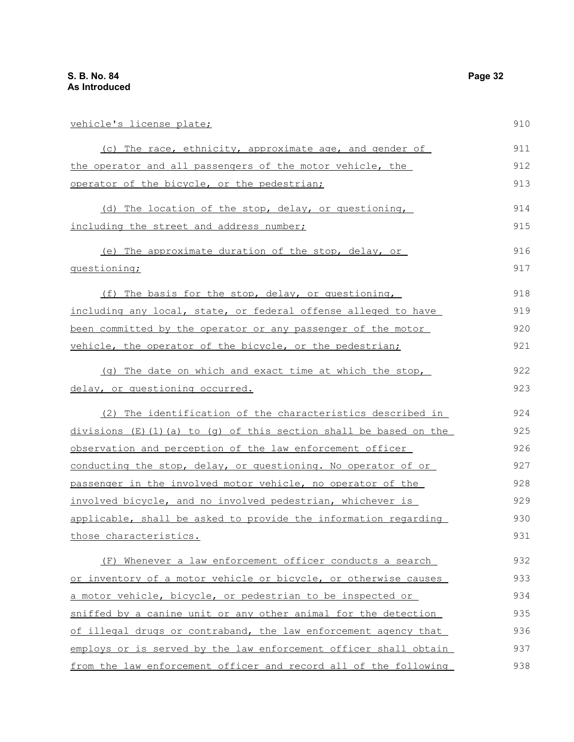| vehicle's license plate;                                           | 910 |
|--------------------------------------------------------------------|-----|
| (c) The race, ethnicity, approximate age, and gender of            | 911 |
| the operator and all passengers of the motor vehicle, the          | 912 |
| operator of the bicycle, or the pedestrian;                        | 913 |
| (d) The location of the stop, delay, or questioning,               | 914 |
| including the street and address number;                           | 915 |
| (e) The approximate duration of the stop, delay, or                | 916 |
| questioning;                                                       | 917 |
| (f) The basis for the stop, delay, or questioning,                 | 918 |
| including any local, state, or federal offense alleged to have     | 919 |
| been committed by the operator or any passenger of the motor       | 920 |
| vehicle, the operator of the bicycle, or the pedestrian;           | 921 |
| (q) The date on which and exact time at which the stop,            | 922 |
| delay, or questioning occurred.                                    | 923 |
| (2) The identification of the characteristics described in         | 924 |
| $divisions$ (E)(1)(a) to (q) of this section shall be based on the | 925 |
| observation and perception of the law enforcement officer          | 926 |
| conducting the stop, delay, or questioning. No operator of or      | 927 |
| passenger in the involved motor vehicle, no operator of the        | 928 |
| involved bicycle, and no involved pedestrian, whichever is         | 929 |
| applicable, shall be asked to provide the information regarding    | 930 |
| those characteristics.                                             | 931 |
| (F) Whenever a law enforcement officer conducts a search           | 932 |
| or inventory of a motor vehicle or bicycle, or otherwise causes    | 933 |
| a motor vehicle, bicycle, or pedestrian to be inspected or         | 934 |
| sniffed by a canine unit or any other animal for the detection     | 935 |
| of illegal drugs or contraband, the law enforcement agency that    | 936 |
| employs or is served by the law enforcement officer shall obtain   | 937 |
| from the law enforcement officer and record all of the following   | 938 |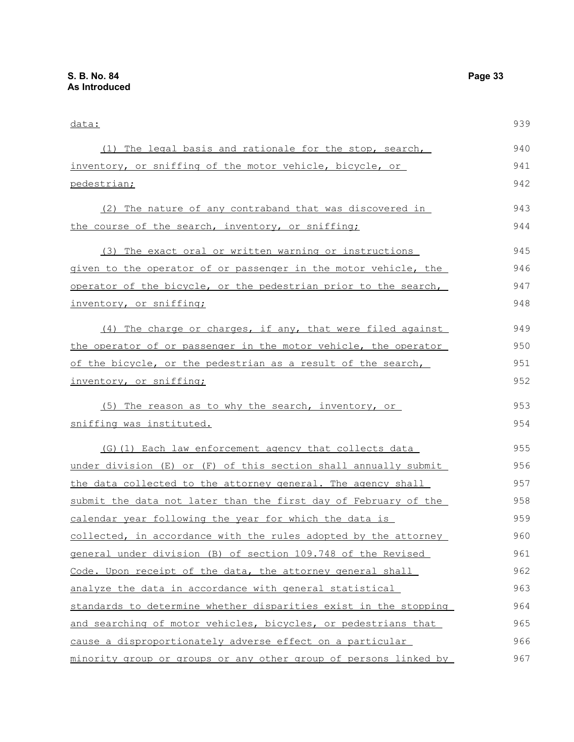| data:                                                            | 939 |
|------------------------------------------------------------------|-----|
| (1) The legal basis and rationale for the stop, search,          | 940 |
| inventory, or sniffing of the motor vehicle, bicycle, or         | 941 |
| pedestrian;                                                      | 942 |
| (2) The nature of any contraband that was discovered in          | 943 |
| the course of the search, inventory, or sniffing;                | 944 |
| (3) The exact oral or written warning or instructions            | 945 |
| given to the operator of or passenger in the motor vehicle, the  | 946 |
| operator of the bicycle, or the pedestrian prior to the search,  | 947 |
| inventory, or sniffing;                                          | 948 |
| (4) The charge or charges, if any, that were filed against       | 949 |
| the operator of or passenger in the motor vehicle, the operator  | 950 |
| of the bicycle, or the pedestrian as a result of the search,     | 951 |
| inventory, or sniffing;                                          | 952 |
| (5) The reason as to why the search, inventory, or               | 953 |
| sniffing was instituted.                                         | 954 |
| (G) (1) Each law enforcement agency that collects data           | 955 |
| under division (E) or (F) of this section shall annually submit  | 956 |
| the data collected to the attorney general. The agency shall     | 957 |
| submit the data not later than the first day of February of the  | 958 |
| calendar year following the year for which the data is           | 959 |
| collected, in accordance with the rules adopted by the attorney  | 960 |
| general under division (B) of section 109.748 of the Revised     | 961 |
| Code. Upon receipt of the data, the attorney general shall       | 962 |
| analyze the data in accordance with general statistical          | 963 |
| standards to determine whether disparities exist in the stopping | 964 |
| and searching of motor vehicles, bicycles, or pedestrians that   | 965 |
| cause a disproportionately adverse effect on a particular        | 966 |
| minority group or groups or any other group of persons linked by | 967 |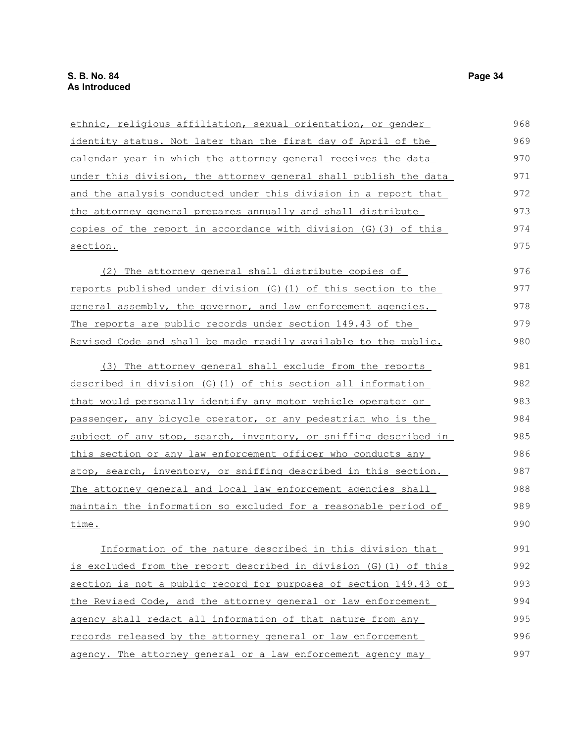| ethnic, religious affiliation, sexual orientation, or gender      | 968 |
|-------------------------------------------------------------------|-----|
| identity status. Not later than the first day of April of the     | 969 |
| calendar year in which the attorney general receives the data     | 970 |
| under this division, the attorney general shall publish the data  | 971 |
| and the analysis conducted under this division in a report that   | 972 |
| the attorney general prepares annually and shall distribute       | 973 |
| copies of the report in accordance with division (G) (3) of this  | 974 |
| section.                                                          | 975 |
| (2) The attorney general shall distribute copies of               | 976 |
| reports published under division (G) (1) of this section to the   | 977 |
| general assembly, the governor, and law enforcement agencies.     | 978 |
| The reports are public records under section 149.43 of the        | 979 |
| Revised Code and shall be made readily available to the public.   | 980 |
| (3) The attorney general shall exclude from the reports           | 981 |
| described in division (G)(1) of this section all information      | 982 |
| that would personally identify any motor vehicle operator or      | 983 |
| passenger, any bicycle operator, or any pedestrian who is the     | 984 |
| subject of any stop, search, inventory, or sniffing described in  | 985 |
| this section or any law enforcement officer who conducts any      | 986 |
| stop, search, inventory, or sniffing described in this section.   | 987 |
| The attorney general and local law enforcement agencies shall     | 988 |
| maintain the information so excluded for a reasonable period of   | 989 |
| time.                                                             | 990 |
| Information of the nature described in this division that         | 991 |
| is excluded from the report described in division (G) (1) of this | 992 |
| section is not a public record for purposes of section 149.43 of  | 993 |
| the Revised Code, and the attorney general or law enforcement     | 994 |
| agency shall redact all information of that nature from any       | 995 |
| records released by the attorney general or law enforcement       | 996 |
| agency. The attorney general or a law enforcement agency may      | 997 |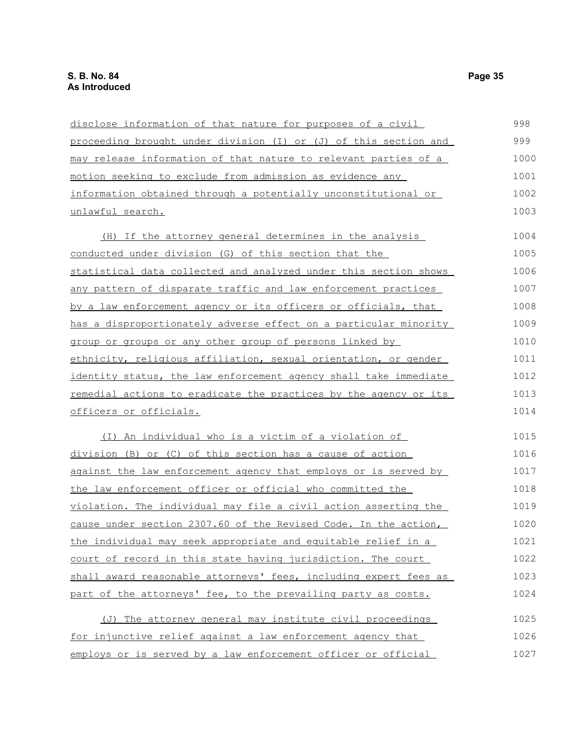| disclose information of that nature for purposes of a civil      | 998  |
|------------------------------------------------------------------|------|
| proceeding brought under division (I) or (J) of this section and | 999  |
| may release information of that nature to relevant parties of a  | 1000 |
| motion seeking to exclude from admission as evidence any         | 1001 |
| information obtained through a potentially unconstitutional or   | 1002 |
| unlawful search.                                                 | 1003 |
| (H) If the attorney general determines in the analysis           | 1004 |
| conducted under division (G) of this section that the            | 1005 |
| statistical data collected and analyzed under this section shows | 1006 |
| any pattern of disparate traffic and law enforcement practices   | 1007 |
| by a law enforcement agency or its officers or officials, that   | 1008 |
| has a disproportionately adverse effect on a particular minority | 1009 |
| group or groups or any other group of persons linked by          | 1010 |
| ethnicity, religious affiliation, sexual orientation, or gender  | 1011 |
| identity status, the law enforcement agency shall take immediate | 1012 |
| remedial actions to eradicate the practices by the agency or its | 1013 |
| officers or officials.                                           | 1014 |
| (I) An individual who is a victim of a violation of              | 1015 |
| division (B) or (C) of this section has a cause of action        | 1016 |
| against the law enforcement agency that employs or is served by  | 1017 |
| the law enforcement officer or official who committed the        | 1018 |
| violation. The individual may file a civil action asserting the  | 1019 |
| cause under section 2307.60 of the Revised Code. In the action,  | 1020 |
| the individual may seek appropriate and equitable relief in a    | 1021 |
| court of record in this state having jurisdiction. The court     | 1022 |
| shall award reasonable attorneys' fees, including expert fees as | 1023 |
| part of the attorneys' fee, to the prevailing party as costs.    | 1024 |
| (J) The attorney general may institute civil proceedings         | 1025 |
| for injunctive relief against a law enforcement agency that      | 1026 |
| employs or is served by a law enforcement officer or official    | 1027 |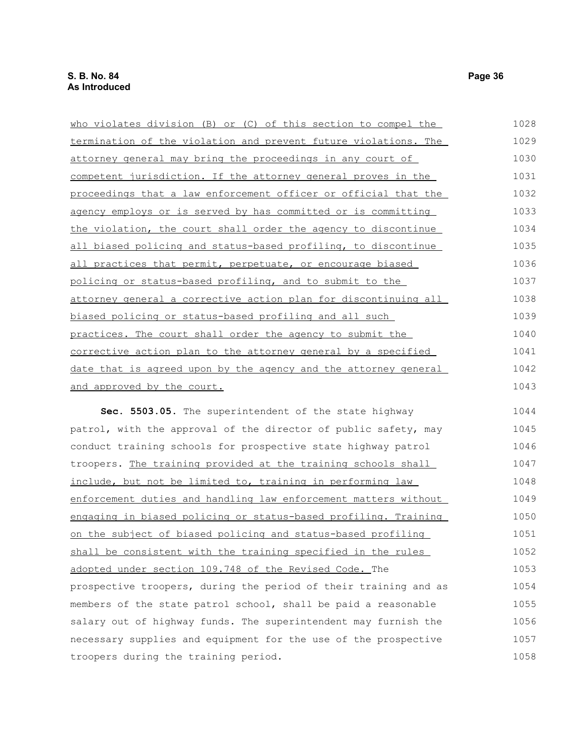| who violates division (B) or (C) of this section to compel the  | 1028 |
|-----------------------------------------------------------------|------|
| termination of the violation and prevent future violations. The | 1029 |
| attorney general may bring the proceedings in any court of      | 1030 |
| competent jurisdiction. If the attorney general proves in the   | 1031 |
| proceedings that a law enforcement officer or official that the | 1032 |
| agency employs or is served by has committed or is committing   | 1033 |
| the violation, the court shall order the agency to discontinue  | 1034 |
| all biased policing and status-based profiling, to discontinue  | 1035 |
| all practices that permit, perpetuate, or encourage biased      | 1036 |
| policing or status-based profiling, and to submit to the        | 1037 |
| attorney general a corrective action plan for discontinuing all | 1038 |
| biased policing or status-based profiling and all such          | 1039 |
| practices. The court shall order the agency to submit the       | 1040 |
| corrective action plan to the attorney general by a specified   | 1041 |
| date that is agreed upon by the agency and the attorney general | 1042 |
| and approved by the court.                                      | 1043 |
| Sec. 5503.05. The superintendent of the state highway           | 1044 |
| patrol, with the approval of the director of public safety, may | 1045 |
| conduct training schools for prospective state highway patrol   | 1046 |
| troopers. The training provided at the training schools shall   | 1047 |
| include, but not be limited to, training in performing law      | 1048 |
| enforcement duties and handling law enforcement matters without | 1049 |
| engaging in biased policing or status-based profiling. Training | 1050 |
| on the subject of biased policing and status-based profiling    | 1051 |
| shall be consistent with the training specified in the rules    | 1052 |
| adopted under section 109.748 of the Revised Code. The          | 1053 |

prospective troopers, during the period of their training and as members of the state patrol school, shall be paid a reasonable salary out of highway funds. The superintendent may furnish the necessary supplies and equipment for the use of the prospective troopers during the training period. 1054 1055 1056 1057 1058